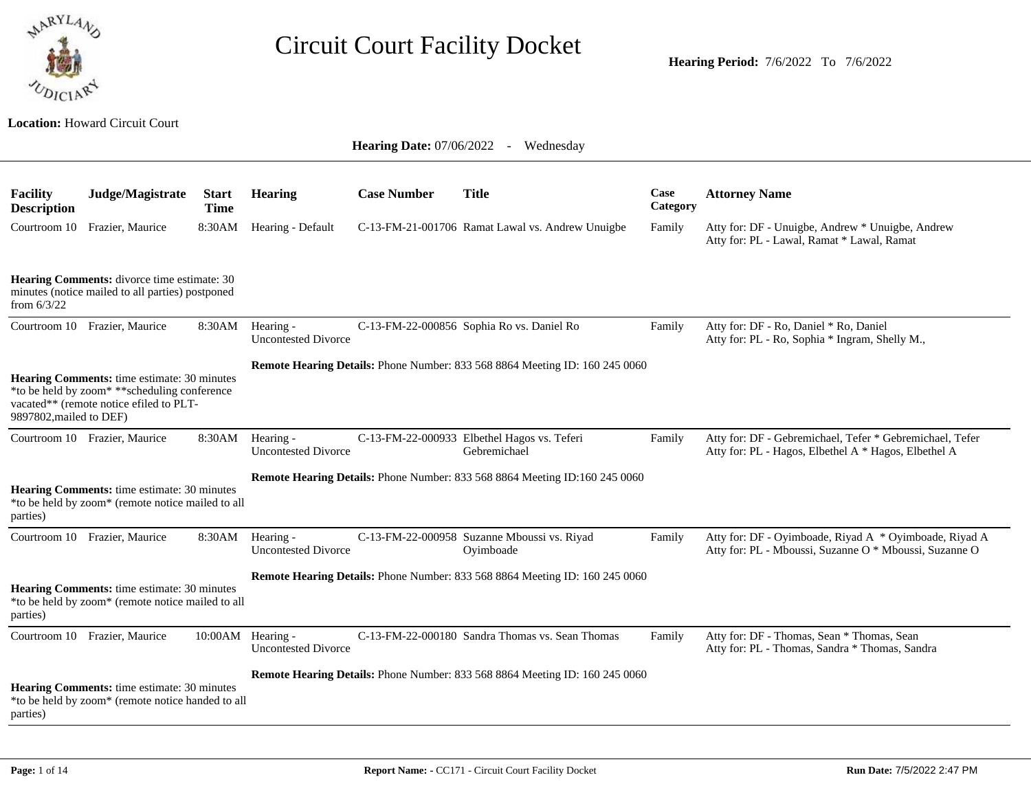

**Location:** Howard Circuit Court

| Facility<br><b>Description</b> | Judge/Magistrate                                                                                                                               | <b>Start</b><br><b>Time</b> | <b>Hearing</b>                                  | <b>Case Number</b> | <b>Title</b>                                                                       | Case<br>Category | <b>Attorney Name</b>                                                                                             |
|--------------------------------|------------------------------------------------------------------------------------------------------------------------------------------------|-----------------------------|-------------------------------------------------|--------------------|------------------------------------------------------------------------------------|------------------|------------------------------------------------------------------------------------------------------------------|
|                                | Courtroom 10 Frazier, Maurice                                                                                                                  | 8:30AM                      | Hearing - Default                               |                    | C-13-FM-21-001706 Ramat Lawal vs. Andrew Unuigbe                                   | Family           | Atty for: DF - Unuigbe, Andrew * Unuigbe, Andrew<br>Atty for: PL - Lawal, Ramat * Lawal, Ramat                   |
| from $6/3/22$                  | Hearing Comments: divorce time estimate: 30<br>minutes (notice mailed to all parties) postponed                                                |                             |                                                 |                    |                                                                                    |                  |                                                                                                                  |
| Courtroom 10                   | Frazier, Maurice                                                                                                                               | 8:30AM                      | Hearing -<br><b>Uncontested Divorce</b>         |                    | C-13-FM-22-000856 Sophia Ro vs. Daniel Ro                                          | Family           | Atty for: DF - Ro, Daniel * Ro, Daniel<br>Atty for: PL - Ro, Sophia * Ingram, Shelly M.,                         |
| 9897802, mailed to DEF)        | <b>Hearing Comments:</b> time estimate: 30 minutes<br>*to be held by zoom* ** scheduling conference<br>vacated** (remote notice efiled to PLT- |                             |                                                 |                    | <b>Remote Hearing Details:</b> Phone Number: 833 568 8864 Meeting ID: 160 245 0060 |                  |                                                                                                                  |
|                                | Courtroom 10 Frazier, Maurice                                                                                                                  | 8:30AM                      | Hearing -<br><b>Uncontested Divorce</b>         |                    | C-13-FM-22-000933 Elbethel Hagos vs. Teferi<br>Gebremichael                        | Family           | Atty for: DF - Gebremichael, Tefer * Gebremichael, Tefer<br>Atty for: PL - Hagos, Elbethel A * Hagos, Elbethel A |
| parties)                       | Hearing Comments: time estimate: 30 minutes<br>*to be held by zoom* (remote notice mailed to all                                               |                             |                                                 |                    | <b>Remote Hearing Details:</b> Phone Number: 833 568 8864 Meeting ID:160 245 0060  |                  |                                                                                                                  |
|                                | Courtroom 10 Frazier, Maurice                                                                                                                  | 8:30AM                      | Hearing -<br><b>Uncontested Divorce</b>         |                    | C-13-FM-22-000958 Suzanne Mboussi vs. Riyad<br>Oyimboade                           | Family           | Atty for: DF - Oyimboade, Riyad A * Oyimboade, Riyad A<br>Atty for: PL - Mboussi, Suzanne O * Mboussi, Suzanne O |
| parties)                       | Hearing Comments: time estimate: 30 minutes<br>*to be held by zoom* (remote notice mailed to all                                               |                             |                                                 |                    | <b>Remote Hearing Details:</b> Phone Number: 833 568 8864 Meeting ID: 160 245 0060 |                  |                                                                                                                  |
|                                | Courtroom 10 Frazier, Maurice                                                                                                                  |                             | 10:00AM Hearing -<br><b>Uncontested Divorce</b> |                    | C-13-FM-22-000180 Sandra Thomas vs. Sean Thomas                                    | Family           | Atty for: DF - Thomas, Sean * Thomas, Sean<br>Atty for: PL - Thomas, Sandra * Thomas, Sandra                     |
| parties)                       | Hearing Comments: time estimate: 30 minutes<br>*to be held by zoom* (remote notice handed to all                                               |                             |                                                 |                    | Remote Hearing Details: Phone Number: 833 568 8864 Meeting ID: 160 245 0060        |                  |                                                                                                                  |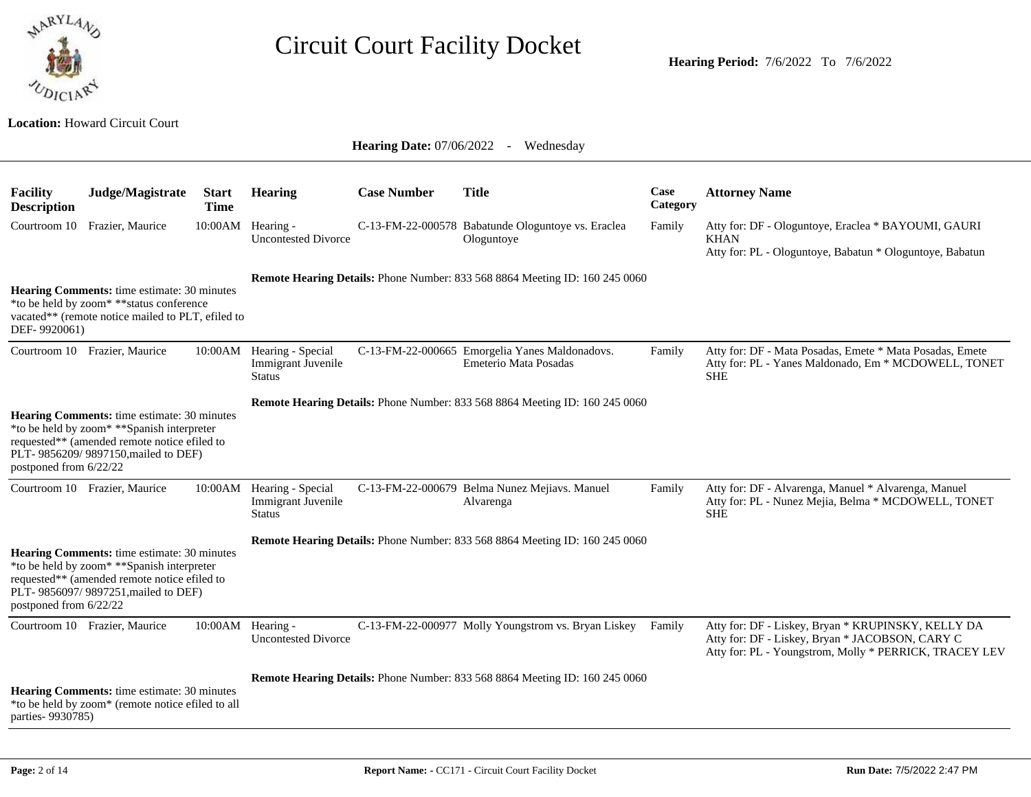

**Hearing Period:** 7/6/2022 To 7/6/2022

#### **Location:** Howard Circuit Court

| <b>Facility</b><br><b>Description</b> | Judge/Magistrate                                                                                                                                                                          | <b>Start</b><br><b>Time</b> | <b>Hearing</b>                                                   | <b>Case Number</b> | <b>Title</b>                                                                       | Case<br>Category | <b>Attorney Name</b>                                                                                                                                            |
|---------------------------------------|-------------------------------------------------------------------------------------------------------------------------------------------------------------------------------------------|-----------------------------|------------------------------------------------------------------|--------------------|------------------------------------------------------------------------------------|------------------|-----------------------------------------------------------------------------------------------------------------------------------------------------------------|
| Courtroom 10                          | Frazier, Maurice                                                                                                                                                                          |                             | 10:00AM Hearing -<br><b>Uncontested Divorce</b>                  |                    | C-13-FM-22-000578 Babatunde Ologuntoye vs. Eraclea<br>Ologuntoye                   | Family           | Atty for: DF - Ologuntoye, Eraclea * BAYOUMI, GAURI<br><b>KHAN</b><br>Atty for: PL - Ologuntoye, Babatun * Ologuntoye, Babatun                                  |
| DEF-9920061)                          | Hearing Comments: time estimate: 30 minutes<br>*to be held by zoom* ** status conference<br>vacated** (remote notice mailed to PLT, efiled to                                             |                             |                                                                  |                    | <b>Remote Hearing Details:</b> Phone Number: 833 568 8864 Meeting ID: 160 245 0060 |                  |                                                                                                                                                                 |
|                                       | Courtroom 10 Frazier, Maurice                                                                                                                                                             | 10:00AM                     | Hearing - Special<br>Immigrant Juvenile<br><b>Status</b>         |                    | C-13-FM-22-000665 Emorgelia Yanes Maldonadovs.<br>Emeterio Mata Posadas            | Family           | Atty for: DF - Mata Posadas, Emete * Mata Posadas, Emete<br>Atty for: PL - Yanes Maldonado, Em * MCDOWELL, TONET<br><b>SHE</b>                                  |
| postponed from 6/22/22                | Hearing Comments: time estimate: 30 minutes<br>*to be held by zoom* **Spanish interpreter<br>requested** (amended remote notice efiled to<br>PLT- 9856209/ 9897150, mailed to DEF)        |                             |                                                                  |                    | Remote Hearing Details: Phone Number: 833 568 8864 Meeting ID: 160 245 0060        |                  |                                                                                                                                                                 |
|                                       | Courtroom 10 Frazier, Maurice                                                                                                                                                             |                             | 10:00AM Hearing - Special<br>Immigrant Juvenile<br><b>Status</b> |                    | C-13-FM-22-000679 Belma Nunez Mejiavs. Manuel<br>Alvarenga                         | Family           | Atty for: DF - Alvarenga, Manuel * Alvarenga, Manuel<br>Atty for: PL - Nunez Mejia, Belma * MCDOWELL, TONET<br><b>SHE</b>                                       |
| postponed from 6/22/22                | <b>Hearing Comments:</b> time estimate: 30 minutes<br>*to be held by zoom* **Spanish interpreter<br>requested** (amended remote notice efiled to<br>PLT- 9856097/ 9897251, mailed to DEF) |                             |                                                                  |                    | Remote Hearing Details: Phone Number: 833 568 8864 Meeting ID: 160 245 0060        |                  |                                                                                                                                                                 |
|                                       | Courtroom 10 Frazier, Maurice                                                                                                                                                             |                             | 10:00AM Hearing -<br><b>Uncontested Divorce</b>                  |                    | C-13-FM-22-000977 Molly Youngstrom vs. Bryan Liskey                                | Family           | Atty for: DF - Liskey, Bryan * KRUPINSKY, KELLY DA<br>Atty for: DF - Liskey, Bryan * JACOBSON, CARY C<br>Atty for: PL - Youngstrom, Molly * PERRICK, TRACEY LEV |
| parties-9930785)                      | <b>Hearing Comments:</b> time estimate: 30 minutes<br>*to be held by zoom* (remote notice efiled to all                                                                                   |                             |                                                                  |                    | Remote Hearing Details: Phone Number: 833 568 8864 Meeting ID: 160 245 0060        |                  |                                                                                                                                                                 |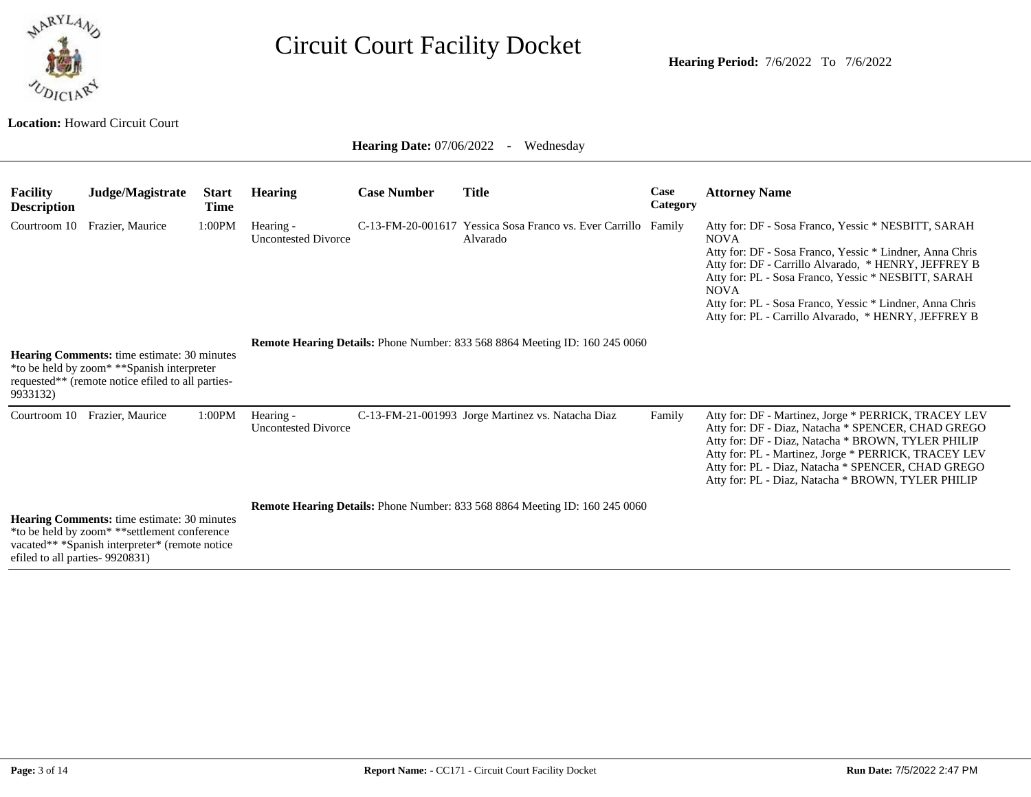

**Location:** Howard Circuit Court

| <b>Facility</b><br><b>Description</b> | Judge/Magistrate                                                                                                                                      | <b>Start</b><br>Time | <b>Hearing</b>                          | <b>Case Number</b> | Title                                                                              | Case<br>Category | <b>Attorney Name</b>                                                                                                                                                                                                                                                                                                                                                             |
|---------------------------------------|-------------------------------------------------------------------------------------------------------------------------------------------------------|----------------------|-----------------------------------------|--------------------|------------------------------------------------------------------------------------|------------------|----------------------------------------------------------------------------------------------------------------------------------------------------------------------------------------------------------------------------------------------------------------------------------------------------------------------------------------------------------------------------------|
|                                       | Courtroom 10 Frazier, Maurice                                                                                                                         | 1:00PM               | Hearing -<br><b>Uncontested Divorce</b> |                    | C-13-FM-20-001617 Yessica Sosa Franco vs. Ever Carrillo Family<br>Alvarado         |                  | Atty for: DF - Sosa Franco, Yessic * NESBITT, SARAH<br><b>NOVA</b><br>Atty for: DF - Sosa Franco, Yessic * Lindner, Anna Chris<br>Atty for: DF - Carrillo Alvarado, * HENRY, JEFFREY B<br>Atty for: PL - Sosa Franco, Yessic * NESBITT, SARAH<br><b>NOVA</b><br>Atty for: PL - Sosa Franco, Yessic * Lindner, Anna Chris<br>Atty for: PL - Carrillo Alvarado, * HENRY, JEFFREY B |
| 9933132)                              | <b>Hearing Comments:</b> time estimate: 30 minutes<br>*to be held by zoom* **Spanish interpreter<br>requested** (remote notice efiled to all parties- |                      |                                         |                    | Remote Hearing Details: Phone Number: 833 568 8864 Meeting ID: 160 245 0060        |                  |                                                                                                                                                                                                                                                                                                                                                                                  |
|                                       | Courtroom 10 Frazier, Maurice                                                                                                                         | 1:00PM               | Hearing -<br><b>Uncontested Divorce</b> |                    | C-13-FM-21-001993 Jorge Martinez vs. Natacha Diaz                                  | Family           | Atty for: DF - Martinez, Jorge * PERRICK, TRACEY LEV<br>Atty for: DF - Diaz, Natacha * SPENCER, CHAD GREGO<br>Atty for: DF - Diaz, Natacha * BROWN, TYLER PHILIP<br>Atty for: PL - Martinez, Jorge * PERRICK, TRACEY LEV<br>Atty for: PL - Diaz, Natacha * SPENCER, CHAD GREGO<br>Atty for: PL - Diaz, Natacha * BROWN, TYLER PHILIP                                             |
| efiled to all parties- 9920831)       | <b>Hearing Comments:</b> time estimate: 30 minutes<br>*to be held by zoom* ** settlement conference<br>vacated** *Spanish interpreter* (remote notice |                      |                                         |                    | <b>Remote Hearing Details:</b> Phone Number: 833 568 8864 Meeting ID: 160 245 0060 |                  |                                                                                                                                                                                                                                                                                                                                                                                  |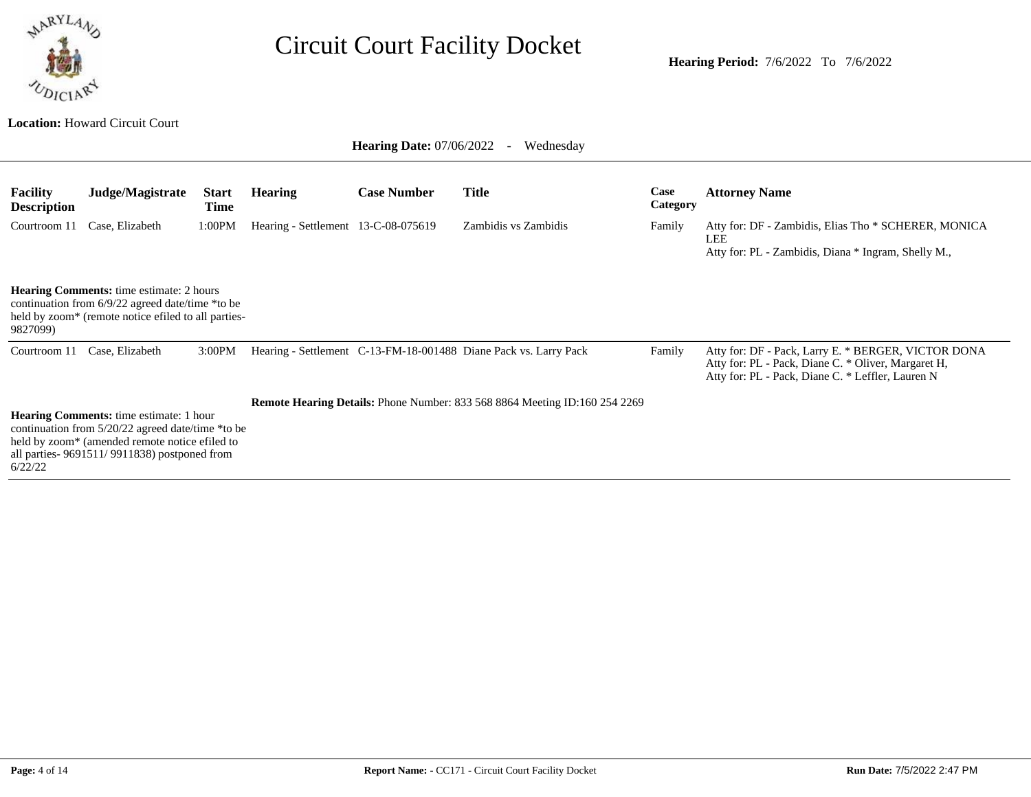

**Hearing Period:** 7/6/2022 To 7/6/2022

| <b>Hearing Date:</b> $07/06/2022$<br>Wednesday<br>$\sim$                                                                                                               |                                                                                                                                                                                                          |                      |                                     |                    |                                                                                   |                  |                                                                                                                                                                 |  |  |  |
|------------------------------------------------------------------------------------------------------------------------------------------------------------------------|----------------------------------------------------------------------------------------------------------------------------------------------------------------------------------------------------------|----------------------|-------------------------------------|--------------------|-----------------------------------------------------------------------------------|------------------|-----------------------------------------------------------------------------------------------------------------------------------------------------------------|--|--|--|
| <b>Facility</b><br><b>Description</b>                                                                                                                                  | Judge/Magistrate                                                                                                                                                                                         | <b>Start</b><br>Time | <b>Hearing</b>                      | <b>Case Number</b> | <b>Title</b>                                                                      | Case<br>Category | <b>Attorney Name</b>                                                                                                                                            |  |  |  |
| Courtroom 11                                                                                                                                                           | Case, Elizabeth                                                                                                                                                                                          | 1:00PM               | Hearing - Settlement 13-C-08-075619 |                    | Zambidis vs Zambidis                                                              | Family           | Atty for: DF - Zambidis, Elias Tho * SCHERER, MONICA<br><b>LEE</b><br>Atty for: PL - Zambidis, Diana * Ingram, Shelly M.,                                       |  |  |  |
| <b>Hearing Comments:</b> time estimate: 2 hours<br>continuation from 6/9/22 agreed date/time *to be<br>held by zoom* (remote notice efiled to all parties-<br>9827099) |                                                                                                                                                                                                          |                      |                                     |                    |                                                                                   |                  |                                                                                                                                                                 |  |  |  |
| Courtroom 11                                                                                                                                                           | Case, Elizabeth                                                                                                                                                                                          | 3:00PM               |                                     |                    | Hearing - Settlement C-13-FM-18-001488 Diane Pack vs. Larry Pack                  | Family           | Atty for: DF - Pack, Larry E. * BERGER, VICTOR DONA<br>Atty for: PL - Pack, Diane C. * Oliver, Margaret H,<br>Atty for: PL - Pack, Diane C. * Leffler, Lauren N |  |  |  |
| 6/22/22                                                                                                                                                                | <b>Hearing Comments:</b> time estimate: 1 hour<br>continuation from 5/20/22 agreed date/time *to be<br>held by zoom* (amended remote notice efiled to<br>all parties- $9691511/9911838$ ) postponed from |                      |                                     |                    | <b>Remote Hearing Details:</b> Phone Number: 833 568 8864 Meeting ID:160 254 2269 |                  |                                                                                                                                                                 |  |  |  |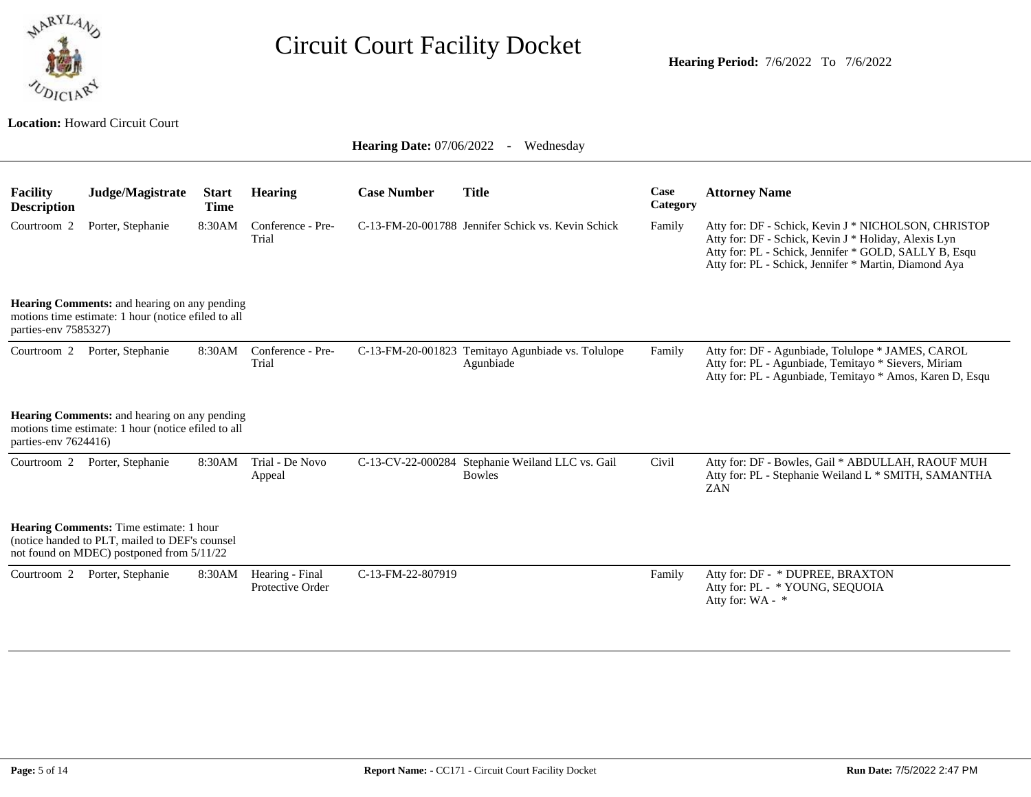

**Location:** Howard Circuit Court

| <b>Facility</b><br><b>Description</b> | Judge/Magistrate                                                                                                                       | <b>Start</b><br><b>Time</b> | <b>Hearing</b>                      | <b>Case Number</b> | <b>Title</b>                                                      | Case<br>Category | <b>Attorney Name</b>                                                                                                                                                                                                           |
|---------------------------------------|----------------------------------------------------------------------------------------------------------------------------------------|-----------------------------|-------------------------------------|--------------------|-------------------------------------------------------------------|------------------|--------------------------------------------------------------------------------------------------------------------------------------------------------------------------------------------------------------------------------|
| Courtroom <sub>2</sub>                | Porter, Stephanie                                                                                                                      | 8:30AM                      | Conference - Pre-<br>Trial          |                    | C-13-FM-20-001788 Jennifer Schick vs. Kevin Schick                | Family           | Atty for: DF - Schick, Kevin J * NICHOLSON, CHRISTOP<br>Atty for: DF - Schick, Kevin J * Holiday, Alexis Lyn<br>Atty for: PL - Schick, Jennifer * GOLD, SALLY B, Esqu<br>Atty for: PL - Schick, Jennifer * Martin, Diamond Aya |
| parties-env 7585327)                  | <b>Hearing Comments:</b> and hearing on any pending<br>motions time estimate: 1 hour (notice efiled to all                             |                             |                                     |                    |                                                                   |                  |                                                                                                                                                                                                                                |
| Courtroom 2                           | Porter, Stephanie                                                                                                                      | 8:30AM                      | Conference - Pre-<br>Trial          |                    | C-13-FM-20-001823 Temitayo Agunbiade vs. Tolulope<br>Agunbiade    | Family           | Atty for: DF - Agunbiade, Tolulope * JAMES, CAROL<br>Atty for: PL - Agunbiade, Temitayo * Sievers, Miriam<br>Atty for: PL - Agunbiade, Temitayo * Amos, Karen D, Esqu                                                          |
| parties-env 7624416)                  | Hearing Comments: and hearing on any pending<br>motions time estimate: 1 hour (notice efiled to all                                    |                             |                                     |                    |                                                                   |                  |                                                                                                                                                                                                                                |
| Courtroom 2                           | Porter, Stephanie                                                                                                                      | 8:30AM                      | Trial - De Novo<br>Appeal           |                    | C-13-CV-22-000284 Stephanie Weiland LLC vs. Gail<br><b>Bowles</b> | Civil            | Atty for: DF - Bowles, Gail * ABDULLAH, RAOUF MUH<br>Atty for: PL - Stephanie Weiland L * SMITH, SAMANTHA<br>ZAN                                                                                                               |
|                                       | Hearing Comments: Time estimate: 1 hour<br>(notice handed to PLT, mailed to DEF's counsel<br>not found on MDEC) postponed from 5/11/22 |                             |                                     |                    |                                                                   |                  |                                                                                                                                                                                                                                |
| Courtroom 2                           | Porter, Stephanie                                                                                                                      | 8:30AM                      | Hearing - Final<br>Protective Order | C-13-FM-22-807919  |                                                                   | Family           | Atty for: DF - * DUPREE, BRAXTON<br>Atty for: PL - * YOUNG, SEQUOIA<br>Atty for: WA - *                                                                                                                                        |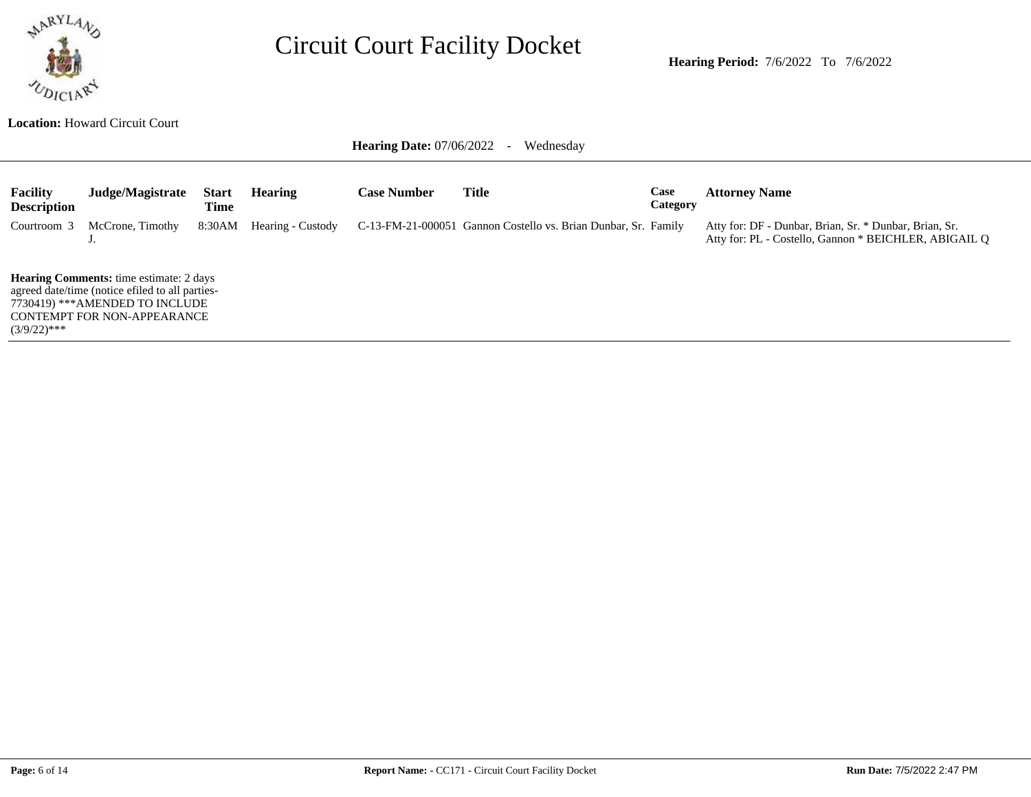

**Hearing Period:** 7/6/2022 To 7/6/2022

**Location:** Howard Circuit Court

Hearing Date: 07/06/2022 - Wednesday

| <b>Facility</b><br><b>Description</b>                                                                                                                                     | Judge/Magistrate | <b>Start</b><br>Time | <b>Hearing</b>    | <b>Case Number</b> | Title                                                          | Case<br>Category | <b>Attorney Name</b>                                                                                            |  |
|---------------------------------------------------------------------------------------------------------------------------------------------------------------------------|------------------|----------------------|-------------------|--------------------|----------------------------------------------------------------|------------------|-----------------------------------------------------------------------------------------------------------------|--|
| Courtroom 3                                                                                                                                                               | McCrone, Timothy | 8:30AM               | Hearing - Custody |                    | C-13-FM-21-000051 Gannon Costello vs. Brian Dunbar, Sr. Family |                  | Atty for: DF - Dunbar, Brian, Sr. * Dunbar, Brian, Sr.<br>Atty for: PL - Costello, Gannon * BEICHLER, ABIGAIL O |  |
| <b>Hearing Comments:</b> time estimate: 2 days<br>agreed date/time (notice efiled to all parties-<br>7730419) ***AMENDED TO INCLUDE<br><b>CONTEMPT FOR NON-APPEARANCE</b> |                  |                      |                   |                    |                                                                |                  |                                                                                                                 |  |

 $(3/9/22)$ \*\*\*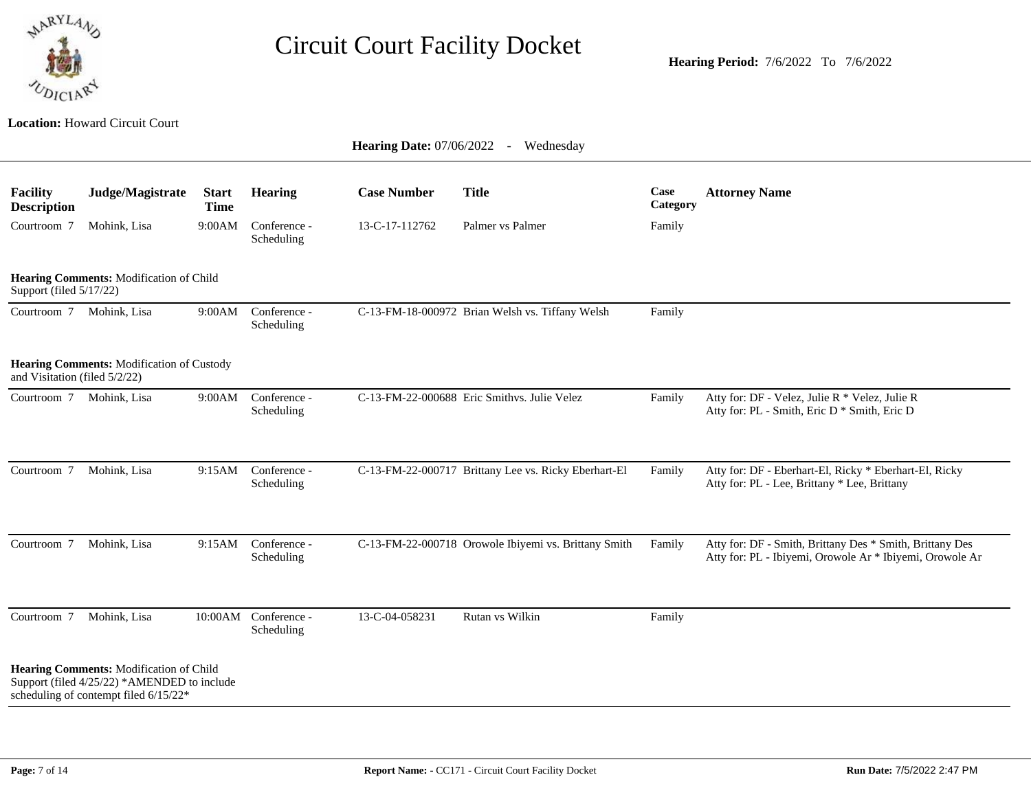

|                                       | <b>Hearing Date: 07/06/2022</b><br>Wednesday<br>$\sim$ $-$                                                                      |                             |                            |                    |                                                      |                  |                                                                                                                      |  |  |  |  |  |
|---------------------------------------|---------------------------------------------------------------------------------------------------------------------------------|-----------------------------|----------------------------|--------------------|------------------------------------------------------|------------------|----------------------------------------------------------------------------------------------------------------------|--|--|--|--|--|
| <b>Facility</b><br><b>Description</b> | Judge/Magistrate                                                                                                                | <b>Start</b><br><b>Time</b> | <b>Hearing</b>             | <b>Case Number</b> | <b>Title</b>                                         | Case<br>Category | <b>Attorney Name</b>                                                                                                 |  |  |  |  |  |
| Courtroom 7                           | Mohink, Lisa                                                                                                                    | 9:00AM                      | Conference -<br>Scheduling | 13-C-17-112762     | Palmer vs Palmer                                     | Family           |                                                                                                                      |  |  |  |  |  |
| Support (filed 5/17/22)               | Hearing Comments: Modification of Child                                                                                         |                             |                            |                    |                                                      |                  |                                                                                                                      |  |  |  |  |  |
|                                       | Courtroom 7 Mohink, Lisa                                                                                                        | 9:00AM                      | Conference -<br>Scheduling |                    | C-13-FM-18-000972 Brian Welsh vs. Tiffany Welsh      | Family           |                                                                                                                      |  |  |  |  |  |
| and Visitation (filed 5/2/22)         | Hearing Comments: Modification of Custody                                                                                       |                             |                            |                    |                                                      |                  |                                                                                                                      |  |  |  |  |  |
|                                       | Courtroom 7 Mohink, Lisa                                                                                                        | 9:00AM                      | Conference -<br>Scheduling |                    | C-13-FM-22-000688 Eric Smithys. Julie Velez          | Family           | Atty for: DF - Velez, Julie R * Velez, Julie R<br>Atty for: PL - Smith, Eric D * Smith, Eric D                       |  |  |  |  |  |
| Courtroom 7                           | Mohink, Lisa                                                                                                                    | 9:15AM                      | Conference -<br>Scheduling |                    | C-13-FM-22-000717 Brittany Lee vs. Ricky Eberhart-El | Family           | Atty for: DF - Eberhart-El, Ricky * Eberhart-El, Ricky<br>Atty for: PL - Lee, Brittany * Lee, Brittany               |  |  |  |  |  |
| Courtroom 7                           | Mohink, Lisa                                                                                                                    | 9:15AM                      | Conference -<br>Scheduling |                    | C-13-FM-22-000718 Orowole Ibiyemi vs. Brittany Smith | Family           | Atty for: DF - Smith, Brittany Des * Smith, Brittany Des<br>Atty for: PL - Ibiyemi, Orowole Ar * Ibiyemi, Orowole Ar |  |  |  |  |  |
| Courtroom 7                           | Mohink, Lisa                                                                                                                    | 10:00AM                     | Conference -<br>Scheduling | 13-C-04-058231     | Rutan vs Wilkin                                      | Family           |                                                                                                                      |  |  |  |  |  |
|                                       | Hearing Comments: Modification of Child<br>Support (filed 4/25/22) *AMENDED to include<br>scheduling of contempt filed 6/15/22* |                             |                            |                    |                                                      |                  |                                                                                                                      |  |  |  |  |  |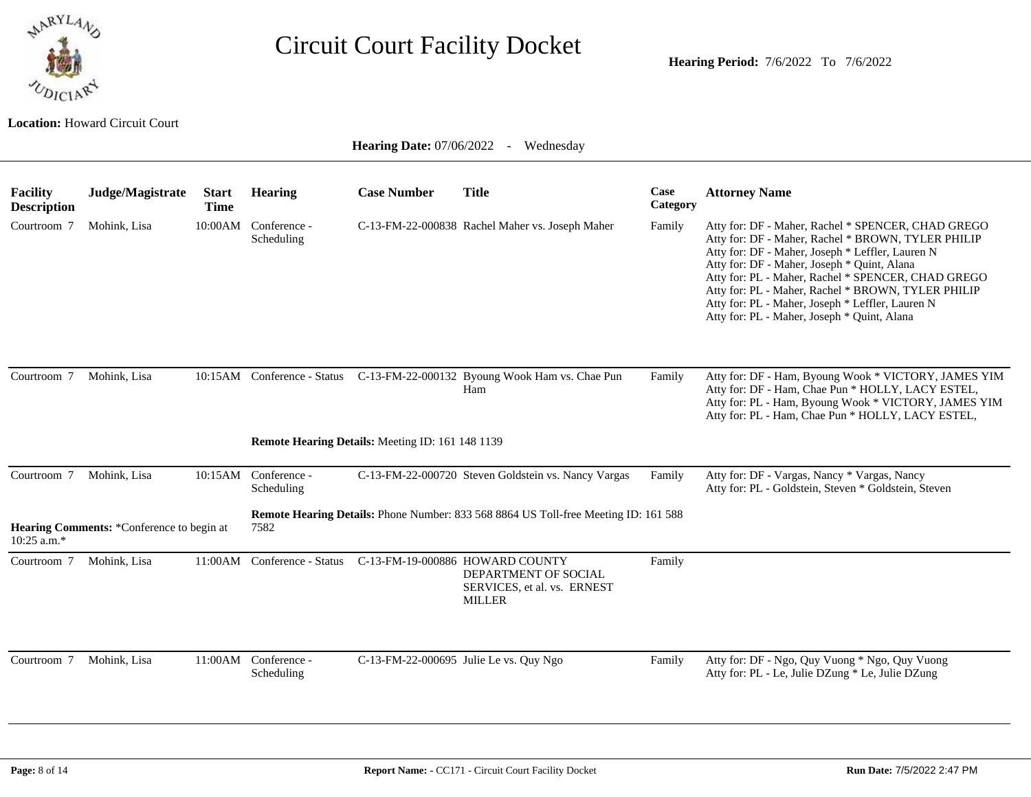

**Location:** Howard Circuit Court

| <b>Facility</b><br><b>Description</b> | Judge/Magistrate                          | <b>Start</b><br><b>Time</b> | <b>Hearing</b>                     | <b>Case Number</b>                               | <b>Title</b>                                                                                            | Case<br>Category | <b>Attorney Name</b>                                                                                                                                                                                                                                                                                                                                                                                                       |
|---------------------------------------|-------------------------------------------|-----------------------------|------------------------------------|--------------------------------------------------|---------------------------------------------------------------------------------------------------------|------------------|----------------------------------------------------------------------------------------------------------------------------------------------------------------------------------------------------------------------------------------------------------------------------------------------------------------------------------------------------------------------------------------------------------------------------|
| Courtroom 7                           | Mohink, Lisa                              |                             | 10:00AM Conference -<br>Scheduling |                                                  | C-13-FM-22-000838 Rachel Maher vs. Joseph Maher                                                         | Family           | Atty for: DF - Maher, Rachel * SPENCER, CHAD GREGO<br>Atty for: DF - Maher, Rachel * BROWN, TYLER PHILIP<br>Atty for: DF - Maher, Joseph * Leffler, Lauren N<br>Atty for: DF - Maher, Joseph * Quint, Alana<br>Atty for: PL - Maher, Rachel * SPENCER, CHAD GREGO<br>Atty for: PL - Maher, Rachel * BROWN, TYLER PHILIP<br>Atty for: PL - Maher, Joseph * Leffler, Lauren N<br>Atty for: PL - Maher, Joseph * Quint, Alana |
| Courtroom 7                           | Mohink, Lisa                              |                             |                                    |                                                  | 10:15AM Conference - Status C-13-FM-22-000132 Byoung Wook Ham vs. Chae Pun<br>Ham                       | Family           | Atty for: DF - Ham, Byoung Wook * VICTORY, JAMES YIM<br>Atty for: DF - Ham, Chae Pun * HOLLY, LACY ESTEL,<br>Atty for: PL - Ham, Byoung Wook * VICTORY, JAMES YIM<br>Atty for: PL - Ham, Chae Pun * HOLLY, LACY ESTEL,                                                                                                                                                                                                     |
|                                       |                                           |                             |                                    | Remote Hearing Details: Meeting ID: 161 148 1139 |                                                                                                         |                  |                                                                                                                                                                                                                                                                                                                                                                                                                            |
| Courtroom 7                           | Mohink, Lisa                              |                             | 10:15AM Conference -<br>Scheduling |                                                  | C-13-FM-22-000720 Steven Goldstein vs. Nancy Vargas                                                     | Family           | Atty for: DF - Vargas, Nancy * Vargas, Nancy<br>Atty for: PL - Goldstein, Steven * Goldstein, Steven                                                                                                                                                                                                                                                                                                                       |
| 10:25 a.m.*                           | Hearing Comments: *Conference to begin at |                             | 7582                               |                                                  | <b>Remote Hearing Details:</b> Phone Number: 833 568 8864 US Toll-free Meeting ID: 161 588              |                  |                                                                                                                                                                                                                                                                                                                                                                                                                            |
| Courtroom 7                           | Mohink, Lisa                              | 11:00AM                     | Conference - Status                |                                                  | C-13-FM-19-000886 HOWARD COUNTY<br>DEPARTMENT OF SOCIAL<br>SERVICES, et al. vs. ERNEST<br><b>MILLER</b> | Family           |                                                                                                                                                                                                                                                                                                                                                                                                                            |
| Courtroom 7                           | Mohink, Lisa                              |                             | 11:00AM Conference -<br>Scheduling |                                                  | C-13-FM-22-000695 Julie Le vs. Quy Ngo                                                                  | Family           | Atty for: DF - Ngo, Quy Vuong * Ngo, Quy Vuong<br>Atty for: PL - Le, Julie DZung * Le, Julie DZung                                                                                                                                                                                                                                                                                                                         |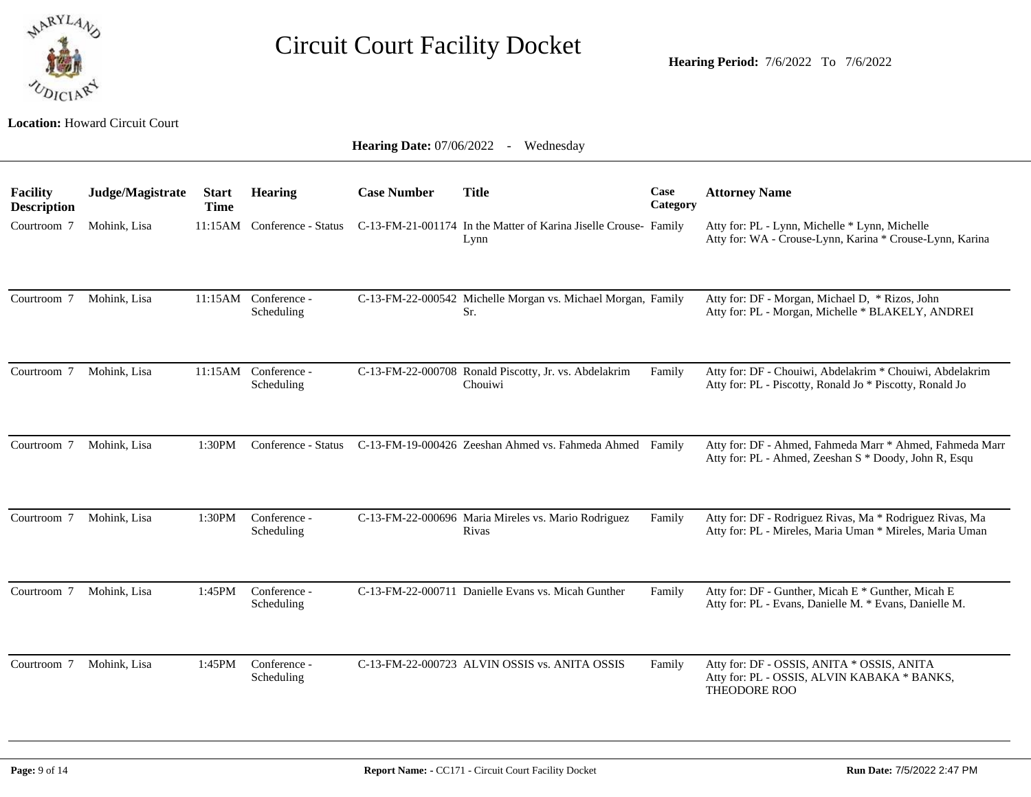

**Hearing Period:** 7/6/2022 To 7/6/2022

|                                       | <b>Hearing Date: 07/06/2022</b> -<br>Wednesday |                             |                                    |                    |                                                                                                      |                  |                                                                                                                      |  |  |  |  |
|---------------------------------------|------------------------------------------------|-----------------------------|------------------------------------|--------------------|------------------------------------------------------------------------------------------------------|------------------|----------------------------------------------------------------------------------------------------------------------|--|--|--|--|
| <b>Facility</b><br><b>Description</b> | Judge/Magistrate                               | <b>Start</b><br><b>Time</b> | <b>Hearing</b>                     | <b>Case Number</b> | <b>Title</b>                                                                                         | Case<br>Category | <b>Attorney Name</b>                                                                                                 |  |  |  |  |
| Courtroom 7                           | Mohink, Lisa                                   |                             |                                    |                    | 11:15AM Conference - Status C-13-FM-21-001174 In the Matter of Karina Jiselle Crouse- Family<br>Lynn |                  | Atty for: PL - Lynn, Michelle * Lynn, Michelle<br>Atty for: WA - Crouse-Lynn, Karina * Crouse-Lynn, Karina           |  |  |  |  |
| Courtroom 7                           | Mohink, Lisa                                   |                             | 11:15AM Conference -<br>Scheduling |                    | C-13-FM-22-000542 Michelle Morgan vs. Michael Morgan, Family<br>Sr.                                  |                  | Atty for: DF - Morgan, Michael D, * Rizos, John<br>Atty for: PL - Morgan, Michelle * BLAKELY, ANDREI                 |  |  |  |  |
| Courtroom 7                           | Mohink, Lisa                                   |                             | 11:15AM Conference -<br>Scheduling |                    | C-13-FM-22-000708 Ronald Piscotty, Jr. vs. Abdelakrim<br>Chouiwi                                     | Family           | Atty for: DF - Chouiwi, Abdelakrim * Chouiwi, Abdelakrim<br>Atty for: PL - Piscotty, Ronald Jo * Piscotty, Ronald Jo |  |  |  |  |
| Courtroom 7                           | Mohink, Lisa                                   | 1:30PM                      | Conference - Status                |                    | C-13-FM-19-000426 Zeeshan Ahmed vs. Fahmeda Ahmed Family                                             |                  | Atty for: DF - Ahmed, Fahmeda Marr * Ahmed, Fahmeda Marr<br>Atty for: PL - Ahmed, Zeeshan S * Doody, John R, Esqu    |  |  |  |  |
| Courtroom 7                           | Mohink, Lisa                                   | 1:30PM                      | Conference -<br>Scheduling         |                    | C-13-FM-22-000696 Maria Mireles vs. Mario Rodriguez<br>Rivas                                         | Family           | Atty for: DF - Rodriguez Rivas, Ma * Rodriguez Rivas, Ma<br>Atty for: PL - Mireles, Maria Uman * Mireles, Maria Uman |  |  |  |  |
| Courtroom 7                           | Mohink, Lisa                                   | 1:45PM                      | Conference -<br>Scheduling         |                    | C-13-FM-22-000711 Danielle Evans vs. Micah Gunther                                                   | Family           | Atty for: DF - Gunther, Micah E * Gunther, Micah E<br>Atty for: PL - Evans, Danielle M. * Evans, Danielle M.         |  |  |  |  |
| Courtroom 7                           | Mohink, Lisa                                   | 1:45PM                      | Conference -<br>Scheduling         |                    | C-13-FM-22-000723 ALVIN OSSIS vs. ANITA OSSIS                                                        | Family           | Atty for: DF - OSSIS, ANITA * OSSIS, ANITA<br>Atty for: PL - OSSIS, ALVIN KABAKA * BANKS,<br>THEODORE ROO            |  |  |  |  |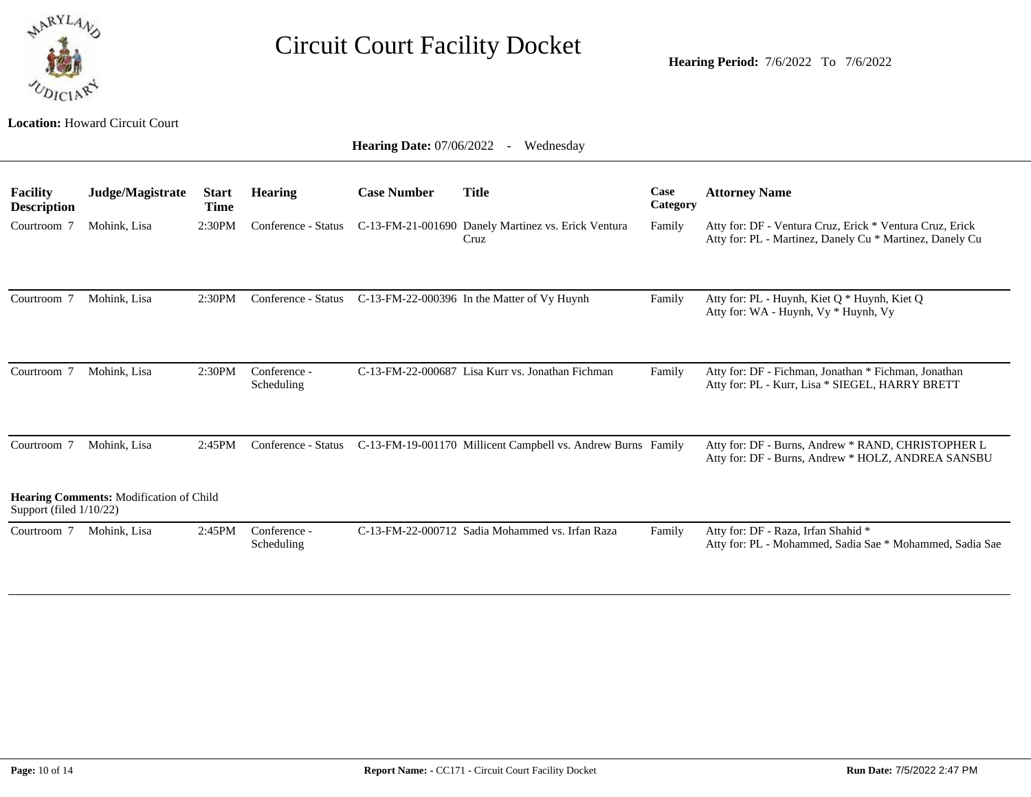

**Hearing Period:** 7/6/2022 To 7/6/2022

|                                       | <b>Hearing Date: 07/06/2022</b><br>Wednesday<br>$\sim$ |                             |                            |                    |                                                              |                  |                                                                                                                      |  |  |  |  |  |
|---------------------------------------|--------------------------------------------------------|-----------------------------|----------------------------|--------------------|--------------------------------------------------------------|------------------|----------------------------------------------------------------------------------------------------------------------|--|--|--|--|--|
| <b>Facility</b><br><b>Description</b> | Judge/Magistrate                                       | <b>Start</b><br><b>Time</b> | <b>Hearing</b>             | <b>Case Number</b> | <b>Title</b>                                                 | Case<br>Category | <b>Attorney Name</b>                                                                                                 |  |  |  |  |  |
| Courtroom 7                           | Mohink, Lisa                                           | 2:30PM                      | Conference - Status        |                    | C-13-FM-21-001690 Danely Martinez vs. Erick Ventura<br>Cruz  | Family           | Atty for: DF - Ventura Cruz, Erick * Ventura Cruz, Erick<br>Atty for: PL - Martinez, Danely Cu * Martinez, Danely Cu |  |  |  |  |  |
| Courtroom 7                           | Mohink, Lisa                                           | 2:30PM                      | Conference - Status        |                    | C-13-FM-22-000396 In the Matter of Vy Huynh                  | Family           | Atty for: PL - Huynh, Kiet Q * Huynh, Kiet Q<br>Atty for: WA - Huynh, Vy * Huynh, Vy                                 |  |  |  |  |  |
| Courtroom 7                           | Mohink, Lisa                                           | 2:30PM                      | Conference -<br>Scheduling |                    | C-13-FM-22-000687 Lisa Kurr vs. Jonathan Fichman             | Family           | Atty for: DF - Fichman, Jonathan * Fichman, Jonathan<br>Atty for: PL - Kurr, Lisa * SIEGEL, HARRY BRETT              |  |  |  |  |  |
| Courtroom 7                           | Mohink, Lisa                                           | 2:45PM                      | Conference - Status        |                    | C-13-FM-19-001170 Millicent Campbell vs. Andrew Burns Family |                  | Atty for: DF - Burns, Andrew * RAND, CHRISTOPHER L<br>Atty for: DF - Burns, Andrew * HOLZ, ANDREA SANSBU             |  |  |  |  |  |
| Support (filed 1/10/22)               | Hearing Comments: Modification of Child                |                             |                            |                    |                                                              |                  |                                                                                                                      |  |  |  |  |  |
| Courtroom 7                           | Mohink, Lisa                                           | 2:45PM                      | Conference -<br>Scheduling |                    | C-13-FM-22-000712 Sadia Mohammed vs. Irfan Raza              | Family           | Atty for: DF - Raza, Irfan Shahid *<br>Atty for: PL - Mohammed, Sadia Sae * Mohammed, Sadia Sae                      |  |  |  |  |  |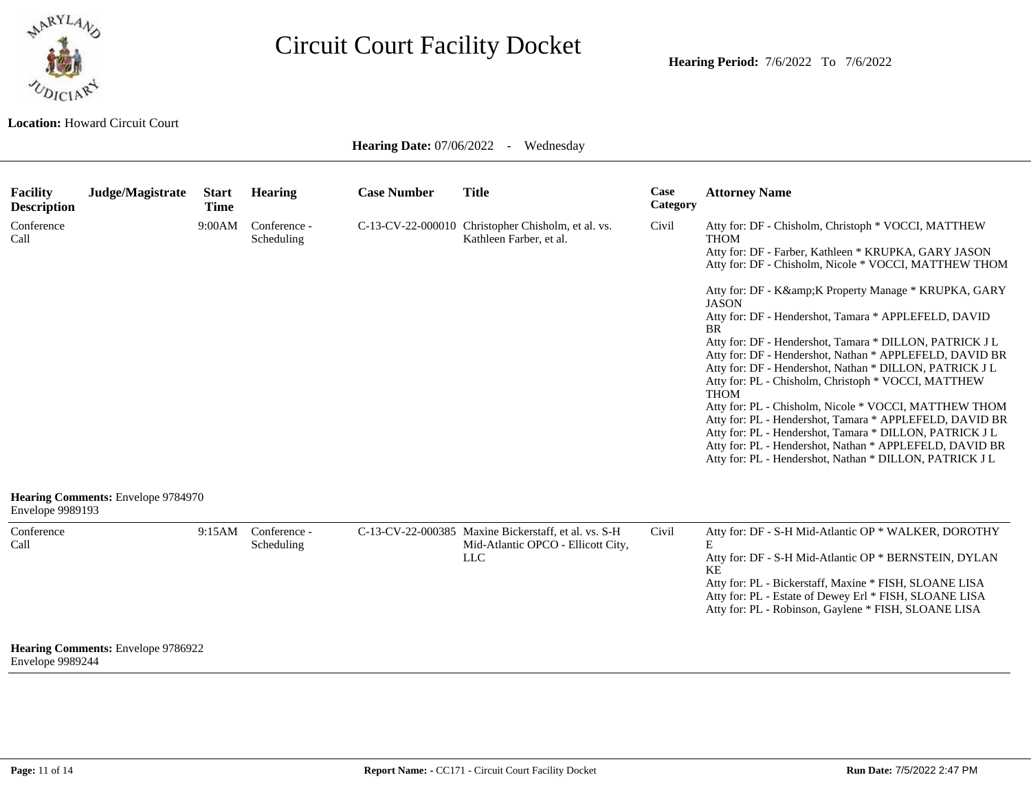

**Location:** Howard Circuit Court

| Facility<br><b>Description</b> | Judge/Magistrate                   | <b>Start</b><br><b>Time</b> | <b>Hearing</b>             | <b>Case Number</b> | <b>Title</b>                                                                                             | Case<br>Category | <b>Attorney Name</b>                                                                                                                                                                                                                                                                                                                                                                                                                                                                                                                                                                                                                                                                                                                                                                                                                                                                       |
|--------------------------------|------------------------------------|-----------------------------|----------------------------|--------------------|----------------------------------------------------------------------------------------------------------|------------------|--------------------------------------------------------------------------------------------------------------------------------------------------------------------------------------------------------------------------------------------------------------------------------------------------------------------------------------------------------------------------------------------------------------------------------------------------------------------------------------------------------------------------------------------------------------------------------------------------------------------------------------------------------------------------------------------------------------------------------------------------------------------------------------------------------------------------------------------------------------------------------------------|
| Conference<br>Call             |                                    | 9:00AM                      | Conference -<br>Scheduling |                    | C-13-CV-22-000010 Christopher Chisholm, et al. vs.<br>Kathleen Farber, et al.                            | Civil            | Atty for: DF - Chisholm, Christoph * VOCCI, MATTHEW<br><b>THOM</b><br>Atty for: DF - Farber, Kathleen * KRUPKA, GARY JASON<br>Atty for: DF - Chisholm, Nicole * VOCCI, MATTHEW THOM<br>Atty for: DF - K& K Property Manage * KRUPKA, GARY<br><b>JASON</b><br>Atty for: DF - Hendershot, Tamara * APPLEFELD, DAVID<br><b>BR</b><br>Atty for: DF - Hendershot, Tamara * DILLON, PATRICK J L<br>Atty for: DF - Hendershot, Nathan * APPLEFELD, DAVID BR<br>Atty for: DF - Hendershot, Nathan * DILLON, PATRICK J L<br>Atty for: PL - Chisholm, Christoph * VOCCI, MATTHEW<br><b>THOM</b><br>Atty for: PL - Chisholm, Nicole * VOCCI, MATTHEW THOM<br>Atty for: PL - Hendershot, Tamara * APPLEFELD, DAVID BR<br>Atty for: PL - Hendershot, Tamara * DILLON, PATRICK J L<br>Atty for: PL - Hendershot, Nathan * APPLEFELD, DAVID BR<br>Atty for: PL - Hendershot, Nathan * DILLON, PATRICK J L |
| Envelope 9989193               | Hearing Comments: Envelope 9784970 |                             |                            |                    |                                                                                                          |                  |                                                                                                                                                                                                                                                                                                                                                                                                                                                                                                                                                                                                                                                                                                                                                                                                                                                                                            |
| Conference<br>Call             |                                    | 9:15AM                      | Conference -<br>Scheduling |                    | C-13-CV-22-000385 Maxine Bickerstaff, et al. vs. S-H<br>Mid-Atlantic OPCO - Ellicott City,<br><b>LLC</b> | Civil            | Atty for: DF - S-H Mid-Atlantic OP * WALKER, DOROTHY<br>E<br>Atty for: DF - S-H Mid-Atlantic OP * BERNSTEIN, DYLAN<br>KE<br>Atty for: PL - Bickerstaff, Maxine * FISH, SLOANE LISA<br>Atty for: PL - Estate of Dewey Erl * FISH, SLOANE LISA<br>Atty for: PL - Robinson, Gaylene * FISH, SLOANE LISA                                                                                                                                                                                                                                                                                                                                                                                                                                                                                                                                                                                       |
| Envelope 9989244               | Hearing Comments: Envelope 9786922 |                             |                            |                    |                                                                                                          |                  |                                                                                                                                                                                                                                                                                                                                                                                                                                                                                                                                                                                                                                                                                                                                                                                                                                                                                            |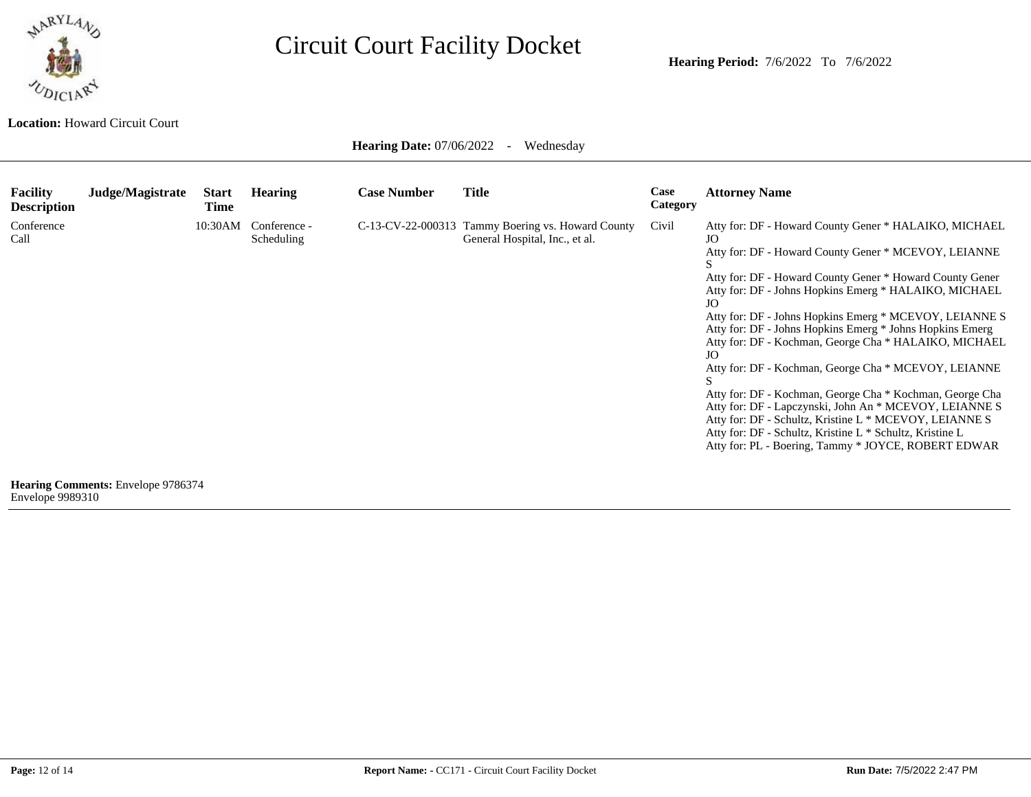

**Hearing Period:** 7/6/2022 To 7/6/2022

**Location:** Howard Circuit Court

| <b>Facility</b><br><b>Description</b> | Judge/Magistrate                          | <b>Start</b><br><b>Time</b> | <b>Hearing</b>             | <b>Case Number</b> | <b>Title</b>                                                                        | Case<br>Category | <b>Attorney Name</b>                                                                                                                                                                                                                                                                                                                                                                                                                                                                                                                                                                                                                                                                                                                                                                           |
|---------------------------------------|-------------------------------------------|-----------------------------|----------------------------|--------------------|-------------------------------------------------------------------------------------|------------------|------------------------------------------------------------------------------------------------------------------------------------------------------------------------------------------------------------------------------------------------------------------------------------------------------------------------------------------------------------------------------------------------------------------------------------------------------------------------------------------------------------------------------------------------------------------------------------------------------------------------------------------------------------------------------------------------------------------------------------------------------------------------------------------------|
| Conference<br>Call                    |                                           | 10:30AM                     | Conference -<br>Scheduling |                    | C-13-CV-22-000313 Tammy Boering vs. Howard County<br>General Hospital, Inc., et al. | Civil            | Atty for: DF - Howard County Gener * HALAIKO, MICHAEL<br>JO<br>Atty for: DF - Howard County Gener * MCEVOY, LEIANNE<br>Atty for: DF - Howard County Gener * Howard County Gener<br>Atty for: DF - Johns Hopkins Emerg * HALAIKO, MICHAEL<br>JO<br>Atty for: DF - Johns Hopkins Emerg * MCEVOY, LEIANNE S<br>Atty for: DF - Johns Hopkins Emerg * Johns Hopkins Emerg<br>Atty for: DF - Kochman, George Cha * HALAIKO, MICHAEL<br>JO<br>Atty for: DF - Kochman, George Cha * MCEVOY, LEIANNE<br>Atty for: DF - Kochman, George Cha * Kochman, George Cha<br>Atty for: DF - Lapczynski, John An * MCEVOY, LEIANNE S<br>Atty for: DF - Schultz, Kristine L * MCEVOY, LEIANNE S<br>Atty for: DF - Schultz, Kristine L * Schultz, Kristine L<br>Atty for: PL - Boering, Tammy * JOYCE, ROBERT EDWAR |
| Envelope 9989310                      | <b>Hearing Comments: Envelope 9786374</b> |                             |                            |                    |                                                                                     |                  |                                                                                                                                                                                                                                                                                                                                                                                                                                                                                                                                                                                                                                                                                                                                                                                                |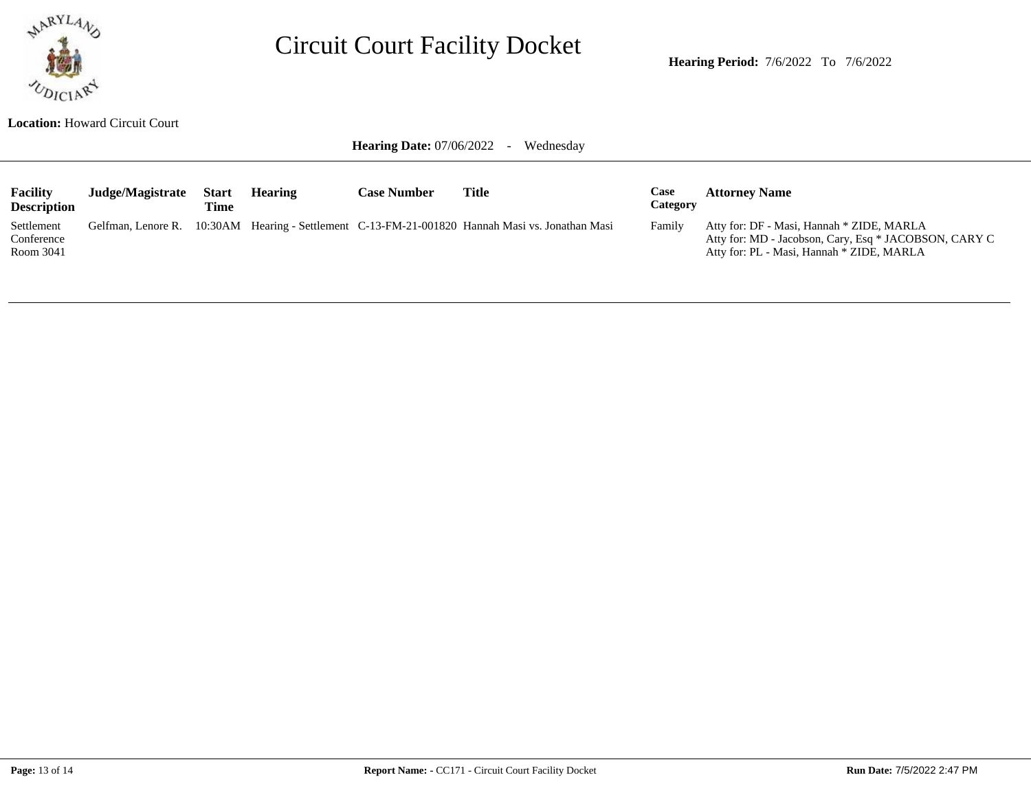

**Hearing Period:** 7/6/2022 To 7/6/2022

**Location:** Howard Circuit Court

| <b>Facility</b><br><b>Description</b> | Judge/Magistrate | <b>Start</b><br>Time | <b>Hearing</b> | <b>Case Number</b> | Title                                                                                           | Case<br>Category | <b>Attorney Name</b>                                                                                                                            |
|---------------------------------------|------------------|----------------------|----------------|--------------------|-------------------------------------------------------------------------------------------------|------------------|-------------------------------------------------------------------------------------------------------------------------------------------------|
| Settlement<br>Conference<br>Room 3041 |                  |                      |                |                    | Gelfman, Lenore R. 10:30AM Hearing - Settlement C-13-FM-21-001820 Hannah Masi vs. Jonathan Masi | Family           | Atty for: DF - Masi, Hannah * ZIDE, MARLA<br>Atty for: MD - Jacobson, Cary, Esq * JACOBSON, CARY C<br>Atty for: PL - Masi, Hannah * ZIDE, MARLA |